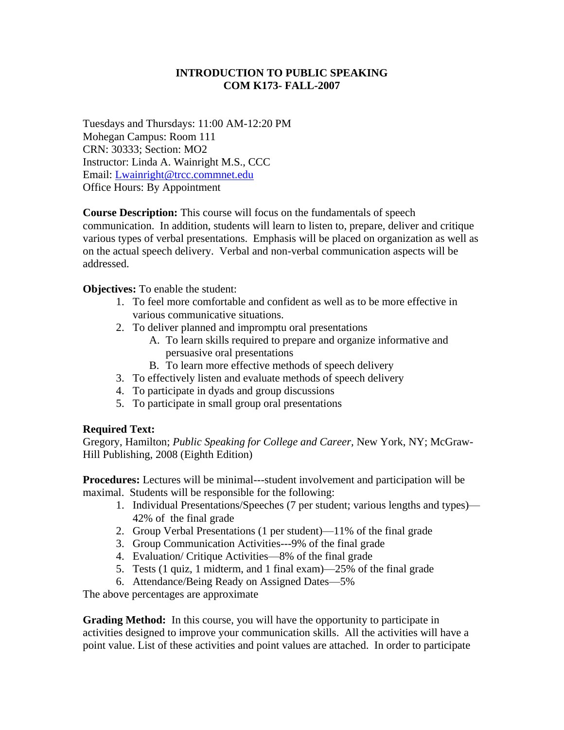## **INTRODUCTION TO PUBLIC SPEAKING COM K173- FALL-2007**

Tuesdays and Thursdays: 11:00 AM-12:20 PM Mohegan Campus: Room 111 CRN: 30333; Section: MO2 Instructor: Linda A. Wainright M.S., CCC Email: [Lwainright@trcc.commnet.edu](mailto:Lwainright@trcc.commnet.edu) Office Hours: By Appointment

**Course Description:** This course will focus on the fundamentals of speech communication. In addition, students will learn to listen to, prepare, deliver and critique various types of verbal presentations. Emphasis will be placed on organization as well as on the actual speech delivery. Verbal and non-verbal communication aspects will be addressed.

**Objectives:** To enable the student:

- 1. To feel more comfortable and confident as well as to be more effective in various communicative situations.
- 2. To deliver planned and impromptu oral presentations
	- A. To learn skills required to prepare and organize informative and persuasive oral presentations
	- B. To learn more effective methods of speech delivery
- 3. To effectively listen and evaluate methods of speech delivery
- 4. To participate in dyads and group discussions
- 5. To participate in small group oral presentations

### **Required Text:**

Gregory, Hamilton; *Public Speaking for College and Career,* New York, NY; McGraw-Hill Publishing, 2008 (Eighth Edition)

**Procedures:** Lectures will be minimal---student involvement and participation will be maximal. Students will be responsible for the following:

- 1. Individual Presentations/Speeches (7 per student; various lengths and types)— 42% of the final grade
- 2. Group Verbal Presentations (1 per student)—11% of the final grade
- 3. Group Communication Activities---9% of the final grade
- 4. Evaluation/ Critique Activities—8% of the final grade
- 5. Tests (1 quiz, 1 midterm, and 1 final exam)—25% of the final grade
- 6. Attendance/Being Ready on Assigned Dates—5%

The above percentages are approximate

**Grading Method:** In this course, you will have the opportunity to participate in activities designed to improve your communication skills. All the activities will have a point value. List of these activities and point values are attached. In order to participate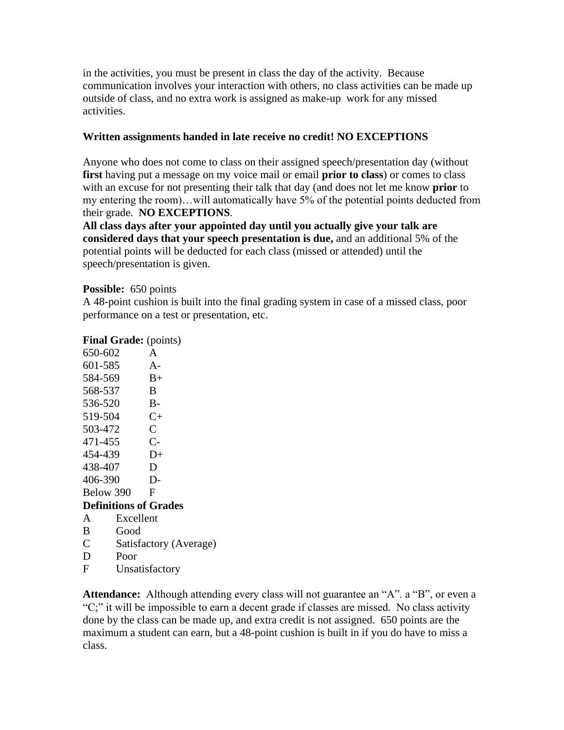in the activities, you must be present in class the day of the activity. Because communication involves your interaction with others, no class activities can be made up outside of class, and no extra work is assigned as make-up work for any missed activities.

## **Written assignments handed in late receive no credit! NO EXCEPTIONS**

Anyone who does not come to class on their assigned speech/presentation day (without **first** having put a message on my voice mail or email **prior to class**) or comes to class with an excuse for not presenting their talk that day (and does not let me know **prior** to my entering the room)…will automatically have 5% of the potential points deducted from their grade. **NO EXCEPTIONS**.

**All class days after your appointed day until you actually give your talk are considered days that your speech presentation is due,** and an additional 5% of the potential points will be deducted for each class (missed or attended) until the speech/presentation is given.

### **Possible:** 650 points

A 48-point cushion is built into the final grading system in case of a missed class, poor performance on a test or presentation, etc.

### **Final Grade:** (points)

| 650-602                      | A                      |
|------------------------------|------------------------|
| 601-585                      | $A -$                  |
| 584-569                      | $B+$                   |
| 568-537                      | B                      |
| 536-520                      | B-                     |
| 519-504                      | $C_{\pm}$              |
| 503-472                      | $\overline{C}$         |
| 471-455                      | $C-$                   |
| 454-439                      | D+                     |
| 438-407                      | D                      |
| 406-390                      | D-                     |
| Below 390                    | F                      |
| <b>Definitions of Grades</b> |                        |
| Excellent<br>A               |                        |
| В<br>Good                    |                        |
| $\overline{C}$               | Satisfactory (Average) |
| D<br>Poor                    |                        |

F Unsatisfactory

**Attendance:** Although attending every class will not guarantee an "A". a "B", or even a "C;" it will be impossible to earn a decent grade if classes are missed. No class activity done by the class can be made up, and extra credit is not assigned. 650 points are the maximum a student can earn, but a 48-point cushion is built in if you do have to miss a class.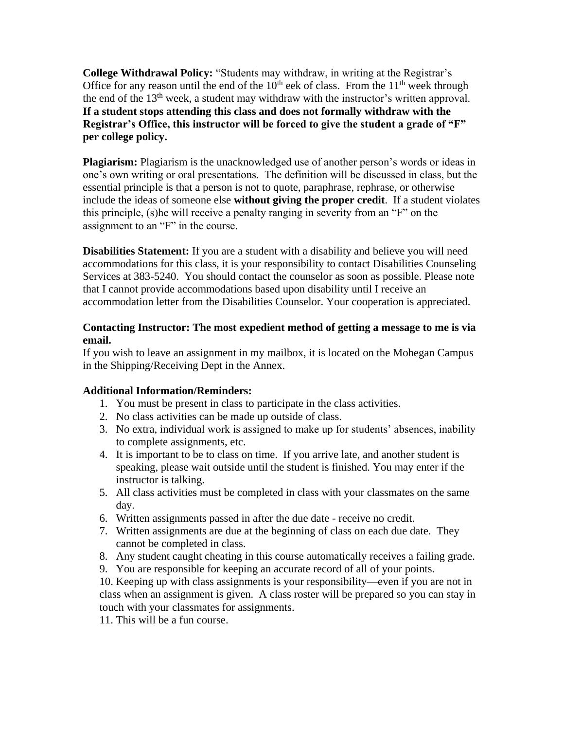**College Withdrawal Policy:** "Students may withdraw, in writing at the Registrar's Office for any reason until the end of the  $10<sup>th</sup>$  eek of class. From the  $11<sup>th</sup>$  week through the end of the 13<sup>th</sup> week, a student may withdraw with the instructor's written approval. **If a student stops attending this class and does not formally withdraw with the Registrar's Office, this instructor will be forced to give the student a grade of "F" per college policy.**

**Plagiarism:** Plagiarism is the unacknowledged use of another person's words or ideas in one's own writing or oral presentations. The definition will be discussed in class, but the essential principle is that a person is not to quote, paraphrase, rephrase, or otherwise include the ideas of someone else **without giving the proper credit**. If a student violates this principle, (s)he will receive a penalty ranging in severity from an "F" on the assignment to an "F" in the course.

**Disabilities Statement:** If you are a student with a disability and believe you will need accommodations for this class, it is your responsibility to contact Disabilities Counseling Services at 383-5240. You should contact the counselor as soon as possible. Please note that I cannot provide accommodations based upon disability until I receive an accommodation letter from the Disabilities Counselor. Your cooperation is appreciated.

## **Contacting Instructor: The most expedient method of getting a message to me is via email.**

If you wish to leave an assignment in my mailbox, it is located on the Mohegan Campus in the Shipping/Receiving Dept in the Annex.

# **Additional Information/Reminders:**

- 1. You must be present in class to participate in the class activities.
- 2. No class activities can be made up outside of class.
- 3. No extra, individual work is assigned to make up for students' absences, inability to complete assignments, etc.
- 4. It is important to be to class on time. If you arrive late, and another student is speaking, please wait outside until the student is finished. You may enter if the instructor is talking.
- 5. All class activities must be completed in class with your classmates on the same day.
- 6. Written assignments passed in after the due date receive no credit.
- 7. Written assignments are due at the beginning of class on each due date. They cannot be completed in class.
- 8. Any student caught cheating in this course automatically receives a failing grade.
- 9. You are responsible for keeping an accurate record of all of your points.

10. Keeping up with class assignments is your responsibility—even if you are not in class when an assignment is given. A class roster will be prepared so you can stay in touch with your classmates for assignments.

11. This will be a fun course.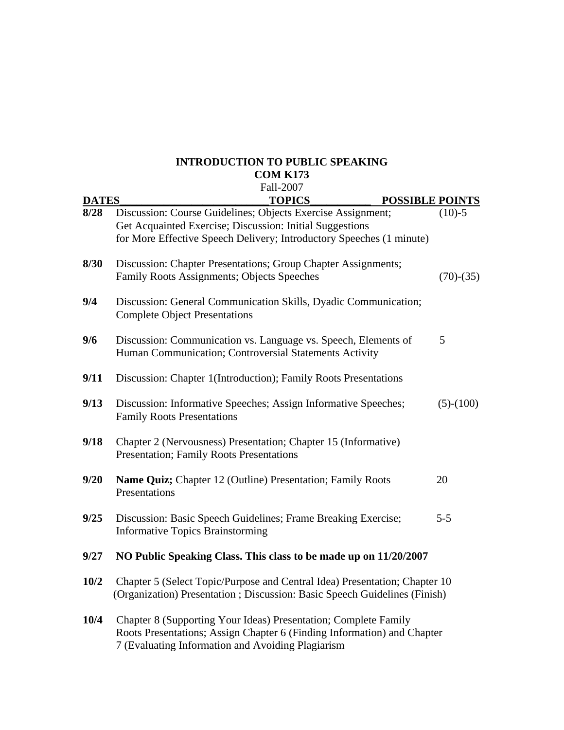# **INTRODUCTION TO PUBLIC SPEAKING COM K173**

|              | Fall-2007                                                                                                                                                                                       |             |
|--------------|-------------------------------------------------------------------------------------------------------------------------------------------------------------------------------------------------|-------------|
| <b>DATES</b> | <b>TOPICS</b><br><b>POSSIBLE POINTS</b>                                                                                                                                                         |             |
| 8/28         | Discussion: Course Guidelines; Objects Exercise Assignment;<br>Get Acquainted Exercise; Discussion: Initial Suggestions<br>for More Effective Speech Delivery; Introductory Speeches (1 minute) | $(10)-5$    |
| 8/30         | Discussion: Chapter Presentations; Group Chapter Assignments;<br><b>Family Roots Assignments; Objects Speeches</b>                                                                              | $(70)-(35)$ |
| 9/4          | Discussion: General Communication Skills, Dyadic Communication;<br><b>Complete Object Presentations</b>                                                                                         |             |
| 9/6          | Discussion: Communication vs. Language vs. Speech, Elements of<br>Human Communication; Controversial Statements Activity                                                                        | 5           |
| 9/11         | Discussion: Chapter 1(Introduction); Family Roots Presentations                                                                                                                                 |             |
| 9/13         | Discussion: Informative Speeches; Assign Informative Speeches;<br><b>Family Roots Presentations</b>                                                                                             | $(5)-(100)$ |
| 9/18         | Chapter 2 (Nervousness) Presentation; Chapter 15 (Informative)<br>Presentation; Family Roots Presentations                                                                                      |             |
| 9/20         | Name Quiz; Chapter 12 (Outline) Presentation; Family Roots<br>Presentations                                                                                                                     | 20          |
| 9/25         | Discussion: Basic Speech Guidelines; Frame Breaking Exercise;<br><b>Informative Topics Brainstorming</b>                                                                                        | $5 - 5$     |
| 9/27         | NO Public Speaking Class. This class to be made up on 11/20/2007                                                                                                                                |             |
| 10/2         | Chapter 5 (Select Topic/Purpose and Central Idea) Presentation; Chapter 10<br>(Organization) Presentation ; Discussion: Basic Speech Guidelines (Finish)                                        |             |
| 10/4         | Chapter 8 (Supporting Your Ideas) Presentation; Complete Family<br>Roots Presentations; Assign Chapter 6 (Finding Information) and Chapter<br>7 (Evaluating Information and Avoiding Plagiarism |             |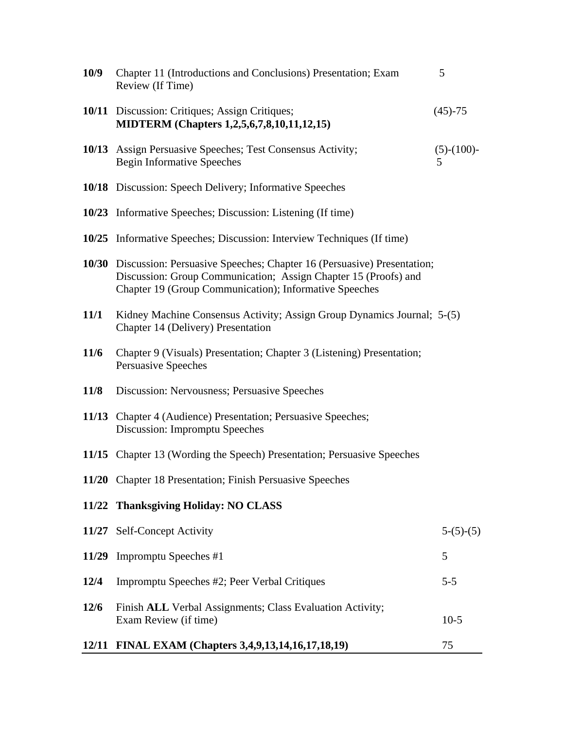| 10/9   | Chapter 11 (Introductions and Conclusions) Presentation; Exam<br>Review (If Time)                                                                                                                         | 5                  |
|--------|-----------------------------------------------------------------------------------------------------------------------------------------------------------------------------------------------------------|--------------------|
|        | 10/11 Discussion: Critiques; Assign Critiques;<br>MIDTERM (Chapters 1,2,5,6,7,8,10,11,12,15)                                                                                                              | $(45)-75$          |
|        | 10/13 Assign Persuasive Speeches; Test Consensus Activity;<br><b>Begin Informative Speeches</b>                                                                                                           | $(5)-(100)$ -<br>5 |
|        | <b>10/18</b> Discussion: Speech Delivery; Informative Speeches                                                                                                                                            |                    |
|        | 10/23 Informative Speeches; Discussion: Listening (If time)                                                                                                                                               |                    |
|        | 10/25 Informative Speeches; Discussion: Interview Techniques (If time)                                                                                                                                    |                    |
|        | 10/30 Discussion: Persuasive Speeches; Chapter 16 (Persuasive) Presentation;<br>Discussion: Group Communication; Assign Chapter 15 (Proofs) and<br>Chapter 19 (Group Communication); Informative Speeches |                    |
| 11/1   | Kidney Machine Consensus Activity; Assign Group Dynamics Journal; 5-(5)<br>Chapter 14 (Delivery) Presentation                                                                                             |                    |
| 11/6   | Chapter 9 (Visuals) Presentation; Chapter 3 (Listening) Presentation;<br>Persuasive Speeches                                                                                                              |                    |
| 11/8   | Discussion: Nervousness; Persuasive Speeches                                                                                                                                                              |                    |
|        | 11/13 Chapter 4 (Audience) Presentation; Persuasive Speeches;<br>Discussion: Impromptu Speeches                                                                                                           |                    |
|        | 11/15 Chapter 13 (Wording the Speech) Presentation; Persuasive Speeches                                                                                                                                   |                    |
|        | 11/20 Chapter 18 Presentation; Finish Persuasive Speeches                                                                                                                                                 |                    |
|        | 11/22 Thanksgiving Holiday: NO CLASS                                                                                                                                                                      |                    |
|        | 11/27 Self-Concept Activity                                                                                                                                                                               | $5-(5)-(5)$        |
|        | 11/29 Impromptu Speeches #1                                                                                                                                                                               | 5                  |
| 12/4   | Impromptu Speeches #2; Peer Verbal Critiques                                                                                                                                                              | $5 - 5$            |
| $12/6$ | Finish ALL Verbal Assignments; Class Evaluation Activity;<br>Exam Review (if time)                                                                                                                        | $10-5$             |
|        | 12/11 FINAL EXAM (Chapters 3,4,9,13,14,16,17,18,19)                                                                                                                                                       | 75                 |